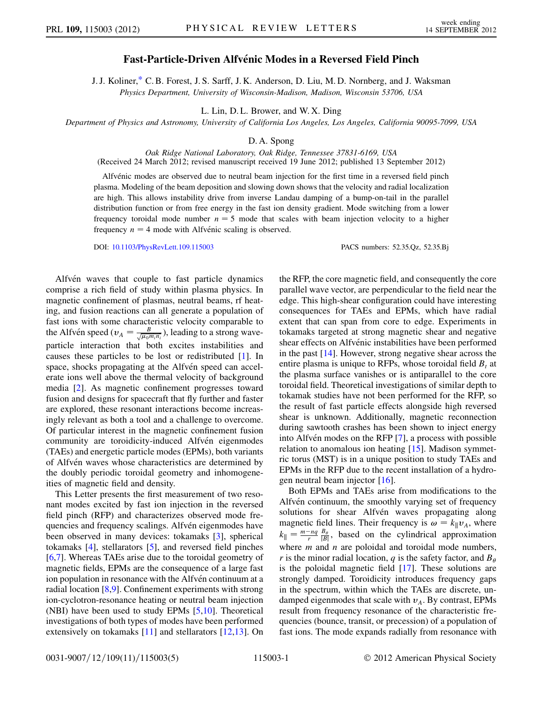## Fast-Particle-Driven Alfvénic Modes in a Reversed Field Pinch

<span id="page-0-0"></span>J. J. Koliner,[\\*](#page-4-0) C. B. Forest, J. S. Sarff, J. K. Anderson, D. Liu, M. D. Nornberg, and J. Waksman Physics Department, University of Wisconsin-Madison, Madison, Wisconsin 53706, USA

L. Lin, D. L. Brower, and W. X. Ding

Department of Physics and Astronomy, University of California Los Angeles, Los Angeles, California 90095-7099, USA

## D. A. Spong

Oak Ridge National Laboratory, Oak Ridge, Tennessee 37831-6169, USA (Received 24 March 2012; revised manuscript received 19 June 2012; published 13 September 2012)

Alfvénic modes are observed due to neutral beam injection for the first time in a reversed field pinch plasma. Modeling of the beam deposition and slowing down shows that the velocity and radial localization are high. This allows instability drive from inverse Landau damping of a bump-on-tail in the parallel distribution function or from free energy in the fast ion density gradient. Mode switching from a lower frequency toroidal mode number  $n = 5$  mode that scales with beam injection velocity to a higher frequency  $n = 4$  mode with Alfvénic scaling is observed.

DOI: [10.1103/PhysRevLett.109.115003](http://dx.doi.org/10.1103/PhysRevLett.109.115003) PACS numbers: 52.35.Qz, 52.35.Bj

Alfvén waves that couple to fast particle dynamics comprise a rich field of study within plasma physics. In magnetic confinement of plasmas, neutral beams, rf heating, and fusion reactions can all generate a population of fast ions with some characteristic velocity comparable to the Alfvén speed ( $v_A = \frac{B}{\sqrt{\mu_0 m_i n_i}}$ ), leading to a strong waveparticle interaction that both excites instabilities and causes these particles to be lost or redistributed [\[1\]](#page-4-1). In space, shocks propagating at the Alfven speed can accelerate ions well above the thermal velocity of background media [\[2](#page-4-2)]. As magnetic confinement progresses toward fusion and designs for spacecraft that fly further and faster are explored, these resonant interactions become increasingly relevant as both a tool and a challenge to overcome. Of particular interest in the magnetic confinement fusion community are toroidicity-induced Alfvén eigenmodes (TAEs) and energetic particle modes (EPMs), both variants of Alfvén waves whose characteristics are determined by the doubly periodic toroidal geometry and inhomogeneities of magnetic field and density.

This Letter presents the first measurement of two resonant modes excited by fast ion injection in the reversed field pinch (RFP) and characterizes observed mode frequencies and frequency scalings. Alfvén eigenmodes have been observed in many devices: tokamaks [[3\]](#page-4-3), spherical tokamaks [[4\]](#page-4-4), stellarators [[5\]](#page-4-5), and reversed field pinches [\[6,](#page-4-6)[7](#page-4-7)]. Whereas TAEs arise due to the toroidal geometry of magnetic fields, EPMs are the consequence of a large fast ion population in resonance with the Alfven continuum at a radial location [\[8](#page-4-8),[9](#page-4-9)]. Confinement experiments with strong ion-cyclotron-resonance heating or neutral beam injection (NBI) have been used to study EPMs [\[5](#page-4-5),[10](#page-4-10)]. Theoretical investigations of both types of modes have been performed extensively on tokamaks [\[11\]](#page-4-11) and stellarators [\[12,](#page-4-12)[13\]](#page-4-13). On the RFP, the core magnetic field, and consequently the core parallel wave vector, are perpendicular to the field near the edge. This high-shear configuration could have interesting consequences for TAEs and EPMs, which have radial extent that can span from core to edge. Experiments in tokamaks targeted at strong magnetic shear and negative shear effects on Alfvénic instabilities have been performed in the past [[14](#page-4-14)]. However, strong negative shear across the entire plasma is unique to RFPs, whose toroidal field  $B_t$  at the plasma surface vanishes or is antiparallel to the core toroidal field. Theoretical investigations of similar depth to tokamak studies have not been performed for the RFP, so the result of fast particle effects alongside high reversed shear is unknown. Additionally, magnetic reconnection during sawtooth crashes has been shown to inject energy into Alfvén modes on the RFP [\[7](#page-4-7)], a process with possible relation to anomalous ion heating [[15](#page-4-15)]. Madison symmetric torus (MST) is in a unique position to study TAEs and EPMs in the RFP due to the recent installation of a hydrogen neutral beam injector [[16](#page-4-16)].

Both EPMs and TAEs arise from modifications to the Alfvén continuum, the smoothly varying set of frequency solutions for shear Alfvén waves propagating along magnetic field lines. Their frequency is  $\omega = k_{\parallel}v_A$ , where  $k_{\parallel} = \frac{m-nq}{r} \frac{B_{\theta}}{|B|}$ , based on the cylindrical approximation where  $m$  and  $n$  are poloidal and toroidal mode numbers, r is the minor radial location, q is the safety factor, and  $B_{\theta}$ is the poloidal magnetic field [[17](#page-4-17)]. These solutions are strongly damped. Toroidicity introduces frequency gaps in the spectrum, within which the TAEs are discrete, undamped eigenmodes that scale with  $v_A$ . By contrast, EPMs result from frequency resonance of the characteristic frequencies (bounce, transit, or precession) of a population of fast ions. The mode expands radially from resonance with

0031-9007/12/109(11)/115003(5) 115003-1 © 2012 American Physical Society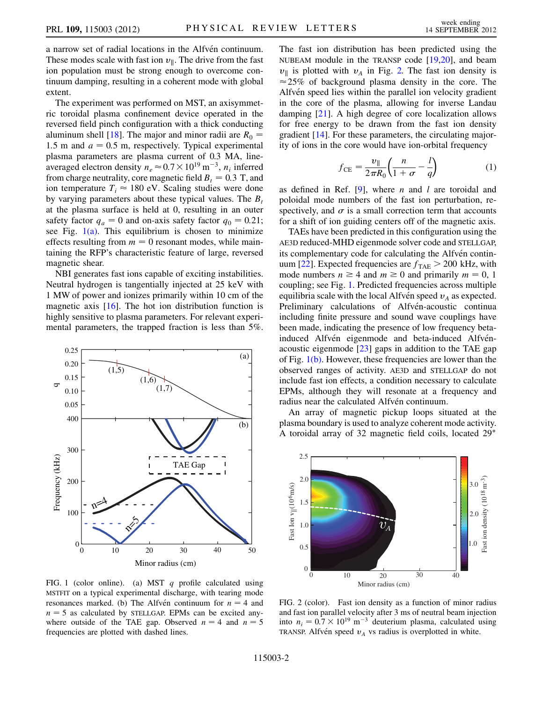a narrow set of radial locations in the Alfvén continuum. These modes scale with fast ion  $v_{\parallel}$ . The drive from the fast ion population must be strong enough to overcome continuum damping, resulting in a coherent mode with global extent.

The experiment was performed on MST, an axisymmetric toroidal plasma confinement device operated in the reversed field pinch configuration with a thick conducting aluminum shell [[18](#page-4-18)]. The major and minor radii are  $R_0 =$ 1.5 m and  $a = 0.5$  m, respectively. Typical experimental plasma parameters are plasma current of 0.3 MA, lineaveraged electron density  $n_e \approx 0.7 \times 10^{19} \,\mathrm{m}^{-3}$ ,  $n_i$  inferred from charge neutrality, core magnetic field  $B_t = 0.3$  T, and ion temperature  $T_i \approx 180$  eV. Scaling studies were done by varying parameters about these typical values. The  $B_t$ at the plasma surface is held at 0, resulting in an outer safety factor  $q_a = 0$  and on-axis safety factor  $q_0 = 0.21$ ; see Fig.  $1(a)$ . This equilibrium is chosen to minimize effects resulting from  $m = 0$  resonant modes, while maintaining the RFP's characteristic feature of large, reversed magnetic shear.

NBI generates fast ions capable of exciting instabilities. Neutral hydrogen is tangentially injected at 25 keV with 1 MW of power and ionizes primarily within 10 cm of the magnetic axis [[16](#page-4-16)]. The hot ion distribution function is highly sensitive to plasma parameters. For relevant experimental parameters, the trapped fraction is less than 5%.

<span id="page-1-2"></span>

<span id="page-1-0"></span>FIG. 1 (color online). (a) MST  $q$  profile calculated using MSTFIT on a typical experimental discharge, with tearing mode resonances marked. (b) The Alfvén continuum for  $n = 4$  and  $n = 5$  as calculated by STELLGAP. EPMs can be excited anywhere outside of the TAE gap. Observed  $n = 4$  and  $n = 5$ frequencies are plotted with dashed lines.

The fast ion distribution has been predicted using the NUBEAM module in the TRANSP code [\[19,](#page-4-19)[20\]](#page-4-20), and beam  $v_{\parallel}$  is plotted with  $v_A$  in Fig. [2.](#page-1-1) The fast ion density is  $\approx$  25% of background plasma density in the core. The Alfvén speed lies within the parallel ion velocity gradient in the core of the plasma, allowing for inverse Landau damping [\[21\]](#page-4-21). A high degree of core localization allows for free energy to be drawn from the fast ion density gradient [[14](#page-4-14)]. For these parameters, the circulating majority of ions in the core would have ion-orbital frequency

$$
f_{\rm CE} = \frac{v_{\parallel}}{2\pi R_0} \left( \frac{n}{1+\sigma} - \frac{l}{q} \right) \tag{1}
$$

<span id="page-1-3"></span>as defined in Ref. [[9\]](#page-4-9), where *n* and *l* are toroidal and poloidal mode numbers of the fast ion perturbation, respectively, and  $\sigma$  is a small correction term that accounts for a shift of ion guiding centers off of the magnetic axis.

TAEs have been predicted in this configuration using the AE3D reduced-MHD eigenmode solver code and STELLGAP, its complementary code for calculating the Alfvén contin-uum [[22](#page-4-22)]. Expected frequencies are  $f_{\text{TAE}} > 200$  kHz, with mode numbers  $n \geq 4$  and  $m \geq 0$  and primarily  $m = 0, 1$ coupling; see Fig. [1.](#page-1-2) Predicted frequencies across multiple equilibria scale with the local Alfvén speed  $v_A$  as expected. Preliminary calculations of Alfvén-acoustic continua including finite pressure and sound wave couplings have been made, indicating the presence of low frequency betainduced Alfvén eigenmode and beta-induced Alfvénacoustic eigenmode [[23\]](#page-4-23) gaps in addition to the TAE gap of Fig.  $1(b)$ . However, these frequencies are lower than the observed ranges of activity. AE3D and STELLGAP do not include fast ion effects, a condition necessary to calculate EPMs, although they will resonate at a frequency and radius near the calculated Alfvén continuum.

An array of magnetic pickup loops situated at the plasma boundary is used to analyze coherent mode activity. A toroidal array of 32 magnetic field coils, located 29

<span id="page-1-1"></span>

FIG. 2 (color). Fast ion density as a function of minor radius and fast ion parallel velocity after 3 ms of neutral beam injection into  $n_i = 0.7 \times 10^{19} \text{ m}^{-3}$  deuterium plasma, calculated using TRANSP. Alfvén speed  $v_A$  vs radius is overplotted in white.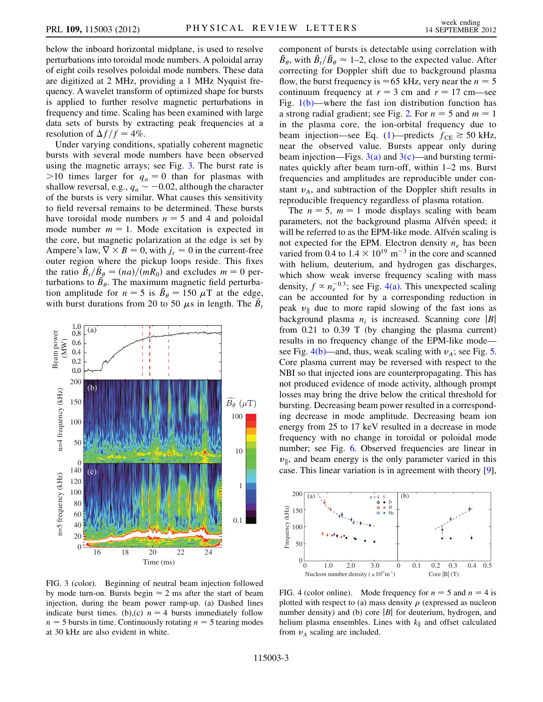below the inboard horizontal midplane, is used to resolve perturbations into toroidal mode numbers. A poloidal array of eight coils resolves poloidal mode numbers. These data are digitized at 2 MHz, providing a 1 MHz Nyquist frequency. A wavelet transform of optimized shape for bursts is applied to further resolve magnetic perturbations in frequency and time. Scaling has been examined with large data sets of bursts by extracting peak frequencies at a resolution of  $\Delta f/f = 4\%$ .

Under varying conditions, spatially coherent magnetic bursts with several mode numbers have been observed using the magnetic arrays; see Fig. [3.](#page-2-0) The burst rate is  $>10$  times larger for  $q_a = 0$  than for plasmas with shallow reversal, e.g.,  $q_a \sim -0.02$ , although the character of the bursts is very similar. What causes this sensitivity to field reversal remains to be determined. These bursts have toroidal mode numbers  $n = 5$  and 4 and poloidal mode number  $m = 1$ . Mode excitation is expected in the core, but magnetic polarization at the edge is set by Ampere's law,  $\nabla \times B = 0$ , with  $j_r = 0$  in the current-free outer region where the pickup loops reside. This fixes the ratio  $\tilde{B}_t/\tilde{B}_{\theta} = (na)/(mR_0)$  and excludes  $m = 0$  perturbations to  $\tilde{B}_{\theta}$ . The maximum magnetic field perturbation amplitude for  $n = 5$  is  $\tilde{B}_{\theta} = 150 \mu T$  at the edge, with burst durations from 20 to 50  $\mu$ s in length. The  $\tilde{B}_t$ 

<span id="page-2-0"></span>

<span id="page-2-1"></span>FIG. 3 (color). Beginning of neutral beam injection followed by mode turn-on. Bursts begin  $\approx$  2 ms after the start of beam injection, during the beam power ramp-up. (a) Dashed lines indicate burst times. (b),(c)  $n = 4$  bursts immediately follow  $n = 5$  bursts in time. Continuously rotating  $n = 5$  tearing modes at 30 kHz are also evident in white.

component of bursts is detectable using correlation with  $\tilde{B}_{\theta}$ , with  $\tilde{B}_{t}/\tilde{B}_{\theta} \approx 1$ –2, close to the expected value. After correcting for Doppler shift due to background plasma flow, the burst frequency is  $\approx$  65 kHz, very near the  $n = 5$ continuum frequency at  $r = 3$  cm and  $r = 17$  cm—see Fig.  $1(b)$ —where the fast ion distribution function has a strong radial gradient; see Fig. [2.](#page-1-1) For  $n = 5$  and  $m = 1$ in the plasma core, the ion-orbital frequency due to beam injection—see Eq. [\(1\)](#page-1-3)—predicts  $f_{CE} \ge 50$  kHz, near the observed value. Bursts appear only during beam injection—Figs.  $3(a)$  and  $3(c)$ —and bursting terminates quickly after beam turn-off, within 1–2 ms. Burst frequencies and amplitudes are reproducible under constant  $v_A$ , and subtraction of the Doppler shift results in reproducible frequency regardless of plasma rotation.

The  $n = 5$ ,  $m = 1$  mode displays scaling with beam parameters, not the background plasma Alfvén speed; it will be referred to as the EPM-like mode. Alfvén scaling is not expected for the EPM. Electron density  $n_e$  has been varied from 0.4 to  $1.4 \times 10^{19}$  m<sup>-3</sup> in the core and scanned with helium, deuterium, and hydrogen gas discharges, which show weak inverse frequency scaling with mass density,  $f \propto n_e^{-0.3}$ ; see Fig. [4\(a\).](#page-2-2) This unexpected scaling can be accounted for by a corresponding reduction in peak  $v_{\parallel}$  due to more rapid slowing of the fast ions as background plasma  $n_i$  is increased. Scanning core |B| from 0.21 to 0.39 T (by changing the plasma current) results in no frequency change of the EPM-like mode— see Fig. [4\(b\)—](#page-2-2)and, thus, weak scaling with  $v_A$ ; see Fig. [5.](#page-3-0) Core plasma current may be reversed with respect to the NBI so that injected ions are counterpropagating. This has not produced evidence of mode activity, although prompt losses may bring the drive below the critical threshold for bursting. Decreasing beam power resulted in a corresponding decrease in mode amplitude. Decreasing beam ion energy from 25 to 17 keV resulted in a decrease in mode frequency with no change in toroidal or poloidal mode number; see Fig. [6.](#page-3-1) Observed frequencies are linear in  $v_{\parallel}$ , and beam energy is the only parameter varied in this case. This linear variation is in agreement with theory [[9\]](#page-4-9),

<span id="page-2-3"></span>

<span id="page-2-2"></span>FIG. 4 (color online). Mode frequency for  $n = 5$  and  $n = 4$  is plotted with respect to (a) mass density  $\rho$  (expressed as nucleon number density) and (b) core  $|B|$  for deuterium, hydrogen, and helium plasma ensembles. Lines with  $k_{\parallel}$  and offset calculated from  $v_A$  scaling are included.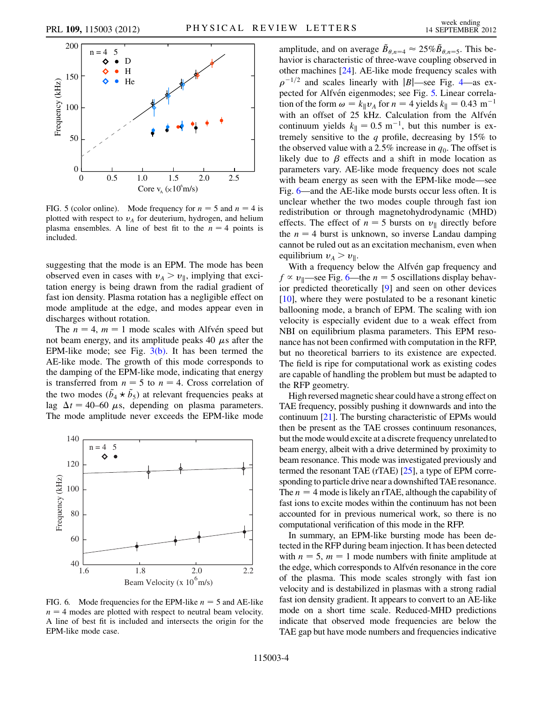<span id="page-3-0"></span>

FIG. 5 (color online). Mode frequency for  $n = 5$  and  $n = 4$  is plotted with respect to  $v_A$  for deuterium, hydrogen, and helium plasma ensembles. A line of best fit to the  $n = 4$  points is included.

suggesting that the mode is an EPM. The mode has been observed even in cases with  $v_A > v_{\parallel}$ , implying that excitation energy is being drawn from the radial gradient of fast ion density. Plasma rotation has a negligible effect on mode amplitude at the edge, and modes appear even in discharges without rotation.

The  $n = 4$ ,  $m = 1$  mode scales with Alfvén speed but not beam energy, and its amplitude peaks 40  $\mu$ s after the EPM-like mode; see Fig.  $3(b)$ . It has been termed the AE-like mode. The growth of this mode corresponds to the damping of the EPM-like mode, indicating that energy is transferred from  $n = 5$  to  $n = 4$ . Cross correlation of the two modes  $(\tilde{b}_4 \star \tilde{b}_5)$  at relevant frequencies peaks at lag  $\Delta t = 40{\text -}60 \mu s$ , depending on plasma parameters. The mode amplitude never exceeds the EPM-like mode

<span id="page-3-1"></span>

FIG. 6. Mode frequencies for the EPM-like  $n = 5$  and AE-like  $n = 4$  modes are plotted with respect to neutral beam velocity. A line of best fit is included and intersects the origin for the EPM-like mode case.

amplitude, and on average  $\tilde{B}_{\theta,n=4} \approx 25\% \tilde{B}_{\theta,n=5}$ . This behavior is characteristic of three-wave coupling observed in other machines [[24](#page-4-24)]. AE-like mode frequency scales with  $\rho^{-1/2}$  and scales linearly with |B|—see Fig. [4—](#page-2-3)as ex-pected for Alfvén eigenmodes; see Fig. [5.](#page-3-0) Linear correlation of the form  $\omega = k_{\parallel}v_A$  for  $n = 4$  yields  $k_{\parallel} = 0.43$  m<sup>-1</sup> with an offset of 25 kHz. Calculation from the Alfvén continuum yields  $k_{\parallel} = 0.5 \text{ m}^{-1}$ , but this number is extremely sensitive to the  $q$  profile, decreasing by 15% to the observed value with a 2.5% increase in  $q_0$ . The offset is likely due to  $\beta$  effects and a shift in mode location as parameters vary. AE-like mode frequency does not scale with beam energy as seen with the EPM-like mode—see Fig. [6](#page-3-1)—and the AE-like mode bursts occur less often. It is unclear whether the two modes couple through fast ion redistribution or through magnetohydrodynamic (MHD) effects. The effect of  $n = 5$  bursts on  $v_{\parallel}$  directly before the  $n = 4$  burst is unknown, so inverse Landau damping cannot be ruled out as an excitation mechanism, even when equilibrium  $v_A > v_{\parallel}$ .

With a frequency below the Alfvén gap frequency and  $f \propto v_{\parallel}$ —see Fig. [6—](#page-3-1)the  $n = 5$  oscillations display behavior predicted theoretically [[9](#page-4-9)] and seen on other devices [\[10\]](#page-4-10), where they were postulated to be a resonant kinetic ballooning mode, a branch of EPM. The scaling with ion velocity is especially evident due to a weak effect from NBI on equilibrium plasma parameters. This EPM resonance has not been confirmed with computation in the RFP, but no theoretical barriers to its existence are expected. The field is ripe for computational work as existing codes are capable of handling the problem but must be adapted to the RFP geometry.

High reversed magnetic shear could have a strong effect on TAE frequency, possibly pushing it downwards and into the continuum [[21](#page-4-21)]. The bursting characteristic of EPMs would then be present as the TAE crosses continuum resonances, but the mode would excite at a discrete frequency unrelated to beam energy, albeit with a drive determined by proximity to beam resonance. This mode was investigated previously and termed the resonant TAE (rTAE) [\[25](#page-4-25)], a type of EPM corresponding to particle drive near a downshifted TAE resonance. The  $n = 4$  mode is likely an rTAE, although the capability of fast ions to excite modes within the continuum has not been accounted for in previous numerical work, so there is no computational verification of this mode in the RFP.

In summary, an EPM-like bursting mode has been detected in the RFP during beam injection. It has been detected with  $n = 5$ ,  $m = 1$  mode numbers with finite amplitude at the edge, which corresponds to Alfvén resonance in the core of the plasma. This mode scales strongly with fast ion velocity and is destabilized in plasmas with a strong radial fast ion density gradient. It appears to convert to an AE-like mode on a short time scale. Reduced-MHD predictions indicate that observed mode frequencies are below the TAE gap but have mode numbers and frequencies indicative